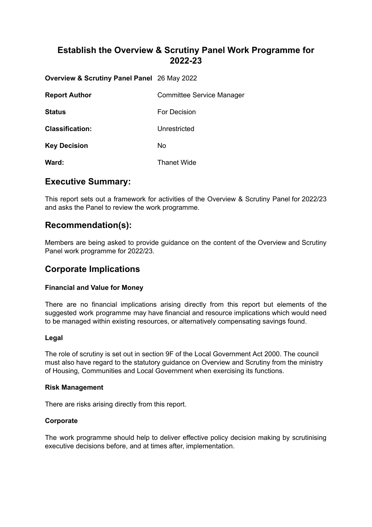# **Establish the Overview & Scrutiny Panel Work Programme for 2022-23**

**Overview & Scrutiny Panel Panel** 26 May 2022

| <b>Report Author</b>   | <b>Committee Service Manager</b> |
|------------------------|----------------------------------|
| <b>Status</b>          | For Decision                     |
| <b>Classification:</b> | Unrestricted                     |
| <b>Key Decision</b>    | No                               |
| Ward:                  | <b>Thanet Wide</b>               |

## **Executive Summary:**

This report sets out a framework for activities of the Overview & Scrutiny Panel for 2022/23 and asks the Panel to review the work programme.

## **Recommendation(s):**

Members are being asked to provide guidance on the content of the Overview and Scrutiny Panel work programme for 2022/23.

# **Corporate Implications**

### **Financial and Value for Money**

There are no financial implications arising directly from this report but elements of the suggested work programme may have financial and resource implications which would need to be managed within existing resources, or alternatively compensating savings found.

### **Legal**

The role of scrutiny is set out in section 9F of the Local Government Act 2000. The council must also have regard to the statutory guidance on Overview and Scrutiny from the ministry of Housing, Communities and Local Government when exercising its functions.

### **Risk Management**

There are risks arising directly from this report.

### **Corporate**

The work programme should help to deliver effective policy decision making by scrutinising executive decisions before, and at times after, implementation.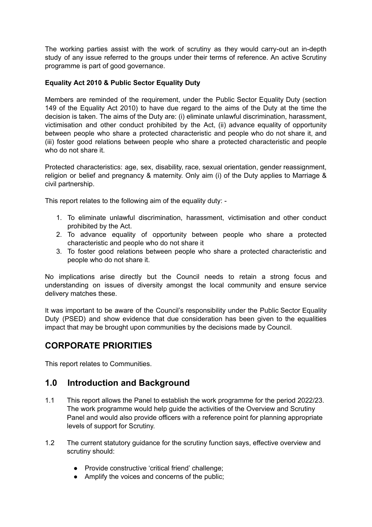The working parties assist with the work of scrutiny as they would carry-out an in-depth study of any issue referred to the groups under their terms of reference. An active Scrutiny programme is part of good governance.

### **Equality Act 2010 & Public Sector Equality Duty**

Members are reminded of the requirement, under the Public Sector Equality Duty (section 149 of the Equality Act 2010) to have due regard to the aims of the Duty at the time the decision is taken. The aims of the Duty are: (i) eliminate unlawful discrimination, harassment, victimisation and other conduct prohibited by the Act, (ii) advance equality of opportunity between people who share a protected characteristic and people who do not share it, and (iii) foster good relations between people who share a protected characteristic and people who do not share it.

Protected characteristics: age, sex, disability, race, sexual orientation, gender reassignment, religion or belief and pregnancy & maternity. Only aim (i) of the Duty applies to Marriage & civil partnership.

This report relates to the following aim of the equality duty: -

- 1. To eliminate unlawful discrimination, harassment, victimisation and other conduct prohibited by the Act.
- 2. To advance equality of opportunity between people who share a protected characteristic and people who do not share it
- 3. To foster good relations between people who share a protected characteristic and people who do not share it.

No implications arise directly but the Council needs to retain a strong focus and understanding on issues of diversity amongst the local community and ensure service delivery matches these.

It was important to be aware of the Council's responsibility under the Public Sector Equality Duty (PSED) and show evidence that due consideration has been given to the equalities impact that may be brought upon communities by the decisions made by Council.

# **CORPORATE PRIORITIES**

This report relates to Communities.

## **1.0 Introduction and Background**

- 1.1 This report allows the Panel to establish the work programme for the period 2022/23. The work programme would help guide the activities of the Overview and Scrutiny Panel and would also provide officers with a reference point for planning appropriate levels of support for Scrutiny.
- 1.2 The current statutory guidance for the scrutiny function says, effective overview and scrutiny should:
	- Provide constructive 'critical friend' challenge;
	- Amplify the voices and concerns of the public;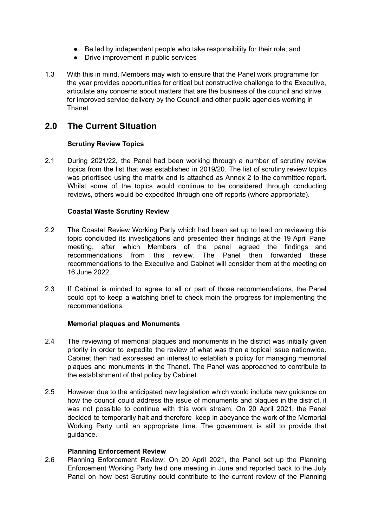- Be led by independent people who take responsibility for their role; and
- Drive improvement in public services
- 1.3 With this in mind, Members may wish to ensure that the Panel work programme for the year provides opportunities for critical but constructive challenge to the Executive, articulate any concerns about matters that are the business of the council and strive for improved service delivery by the Council and other public agencies working in Thanet.

# **2.0 The Current Situation**

### **Scrutiny Review Topics**

2.1 During 2021/22, the Panel had been working through a number of scrutiny review topics from the list that was established in 2019/20. The list of scrutiny review topics was prioritised using the matrix and is attached as Annex 2 to the committee report. Whilst some of the topics would continue to be considered through conducting reviews, others would be expedited through one off reports (where appropriate).

### **Coastal Waste Scrutiny Review**

- 2.2 The Coastal Review Working Party which had been set up to lead on reviewing this topic concluded its investigations and presented their findings at the 19 April Panel meeting, after which Members of the panel agreed the findings and recommendations from this review. The Panel then forwarded these recommendations to the Executive and Cabinet will consider them at the meeting on 16 June 2022.
- 2.3 If Cabinet is minded to agree to all or part of those recommendations, the Panel could opt to keep a watching brief to check moin the progress for implementing the recommendations.

### **Memorial plaques and Monuments**

- 2.4 The reviewing of memorial plaques and monuments in the district was initially given priority in order to expedite the review of what was then a topical issue nationwide. Cabinet then had expressed an interest to establish a policy for managing memorial plaques and monuments in the Thanet. The Panel was approached to contribute to the establishment of that policy by Cabinet.
- 2.5 However due to the anticipated new legislation which would include new guidance on how the council could address the issue of monuments and plaques in the district, it was not possible to continue with this work stream. On 20 April 2021, the Panel decided to temporarily halt and therefore keep in abeyance the work of the Memorial Working Party until an appropriate time. The government is still to provide that guidance.

### **Planning Enforcement Review**

2.6 Planning Enforcement Review: On 20 April 2021, the Panel set up the Planning Enforcement Working Party held one meeting in June and reported back to the July Panel on how best Scrutiny could contribute to the current review of the Planning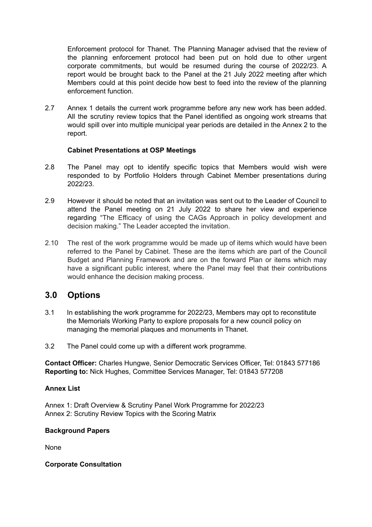Enforcement protocol for Thanet. The Planning Manager advised that the review of the planning enforcement protocol had been put on hold due to other urgent corporate commitments, but would be resumed during the course of 2022/23. A report would be brought back to the Panel at the 21 July 2022 meeting after which Members could at this point decide how best to feed into the review of the planning enforcement function.

2.7 Annex 1 details the current work programme before any new work has been added. All the scrutiny review topics that the Panel identified as ongoing work streams that would spill over into multiple municipal year periods are detailed in the Annex 2 to the report.

### **Cabinet Presentations at OSP Meetings**

- 2.8 The Panel may opt to identify specific topics that Members would wish were responded to by Portfolio Holders through Cabinet Member presentations during 2022/23.
- 2.9 However it should be noted that an invitation was sent out to the Leader of Council to attend the Panel meeting on 21 July 2022 to share her view and experience regarding "The Efficacy of using the CAGs Approach in policy development and decision making." The Leader accepted the invitation.
- 2.10 The rest of the work programme would be made up of items which would have been referred to the Panel by Cabinet. These are the items which are part of the Council Budget and Planning Framework and are on the forward Plan or items which may have a significant public interest, where the Panel may feel that their contributions would enhance the decision making process.

## **3.0 Options**

- 3.1 In establishing the work programme for 2022/23, Members may opt to reconstitute the Memorials Working Party to explore proposals for a new council policy on managing the memorial plaques and monuments in Thanet.
- 3.2 The Panel could come up with a different work programme.

**Contact Officer:** Charles Hungwe, Senior Democratic Services Officer, Tel: 01843 577186 **Reporting to:** Nick Hughes, Committee Services Manager, Tel: 01843 577208

### **Annex List**

Annex 1: Draft Overview & Scrutiny Panel Work Programme for 2022/23 Annex 2: Scrutiny Review Topics with the Scoring Matrix

### **Background Papers**

None

### **Corporate Consultation**